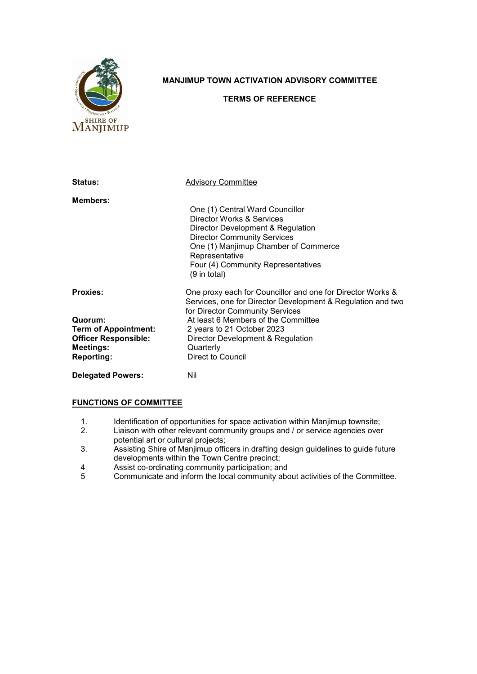

## **MANJIMUP TOWN ACTIVATION ADVISORY COMMITTEE**

## **TERMS OF REFERENCE**

| <b>Status:</b>                                                                                               | <b>Advisory Committee</b>                                                                                                                                                                                                                                                           |
|--------------------------------------------------------------------------------------------------------------|-------------------------------------------------------------------------------------------------------------------------------------------------------------------------------------------------------------------------------------------------------------------------------------|
| <b>Members:</b>                                                                                              | One (1) Central Ward Councillor<br>Director Works & Services<br>Director Development & Regulation<br><b>Director Community Services</b><br>One (1) Manjimup Chamber of Commerce<br>Representative<br>Four (4) Community Representatives<br>(9 in total)                             |
| <b>Proxies:</b><br>Quorum:<br><b>Term of Appointment:</b><br><b>Officer Responsible:</b><br><b>Meetings:</b> | One proxy each for Councillor and one for Director Works &<br>Services, one for Director Development & Regulation and two<br>for Director Community Services<br>At least 6 Members of the Committee<br>2 years to 21 October 2023<br>Director Development & Regulation<br>Quarterly |
| <b>Reporting:</b><br><b>Delegated Powers:</b>                                                                | Direct to Council<br>Nil                                                                                                                                                                                                                                                            |

## **FUNCTIONS OF COMMITTEE**

- 1. Identification of opportunities for space activation within Manjimup townsite;<br>2. Liaison with other relevant community groups and / or service agencies over
- Liaison with other relevant community groups and / or service agencies over potential art or cultural projects;
- 3. Assisting Shire of Manjimup officers in drafting design guidelines to guide future developments within the Town Centre precinct;
- 4 Assist co-ordinating community participation; and
- 5 Communicate and inform the local community about activities of the Committee.